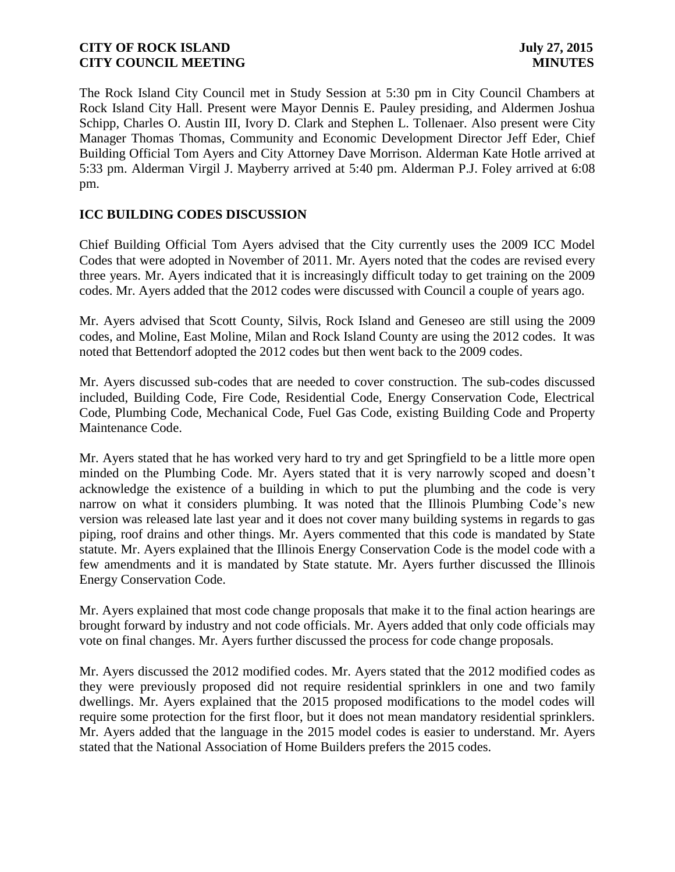The Rock Island City Council met in Study Session at 5:30 pm in City Council Chambers at Rock Island City Hall. Present were Mayor Dennis E. Pauley presiding, and Aldermen Joshua Schipp, Charles O. Austin III, Ivory D. Clark and Stephen L. Tollenaer. Also present were City Manager Thomas Thomas, Community and Economic Development Director Jeff Eder, Chief Building Official Tom Ayers and City Attorney Dave Morrison. Alderman Kate Hotle arrived at 5:33 pm. Alderman Virgil J. Mayberry arrived at 5:40 pm. Alderman P.J. Foley arrived at 6:08 pm.

# **ICC BUILDING CODES DISCUSSION**

Chief Building Official Tom Ayers advised that the City currently uses the 2009 ICC Model Codes that were adopted in November of 2011. Mr. Ayers noted that the codes are revised every three years. Mr. Ayers indicated that it is increasingly difficult today to get training on the 2009 codes. Mr. Ayers added that the 2012 codes were discussed with Council a couple of years ago.

Mr. Ayers advised that Scott County, Silvis, Rock Island and Geneseo are still using the 2009 codes, and Moline, East Moline, Milan and Rock Island County are using the 2012 codes. It was noted that Bettendorf adopted the 2012 codes but then went back to the 2009 codes.

Mr. Ayers discussed sub-codes that are needed to cover construction. The sub-codes discussed included, Building Code, Fire Code, Residential Code, Energy Conservation Code, Electrical Code, Plumbing Code, Mechanical Code, Fuel Gas Code, existing Building Code and Property Maintenance Code.

Mr. Ayers stated that he has worked very hard to try and get Springfield to be a little more open minded on the Plumbing Code. Mr. Ayers stated that it is very narrowly scoped and doesn't acknowledge the existence of a building in which to put the plumbing and the code is very narrow on what it considers plumbing. It was noted that the Illinois Plumbing Code's new version was released late last year and it does not cover many building systems in regards to gas piping, roof drains and other things. Mr. Ayers commented that this code is mandated by State statute. Mr. Ayers explained that the Illinois Energy Conservation Code is the model code with a few amendments and it is mandated by State statute. Mr. Ayers further discussed the Illinois Energy Conservation Code.

Mr. Ayers explained that most code change proposals that make it to the final action hearings are brought forward by industry and not code officials. Mr. Ayers added that only code officials may vote on final changes. Mr. Ayers further discussed the process for code change proposals.

Mr. Ayers discussed the 2012 modified codes. Mr. Ayers stated that the 2012 modified codes as they were previously proposed did not require residential sprinklers in one and two family dwellings. Mr. Ayers explained that the 2015 proposed modifications to the model codes will require some protection for the first floor, but it does not mean mandatory residential sprinklers. Mr. Ayers added that the language in the 2015 model codes is easier to understand. Mr. Ayers stated that the National Association of Home Builders prefers the 2015 codes.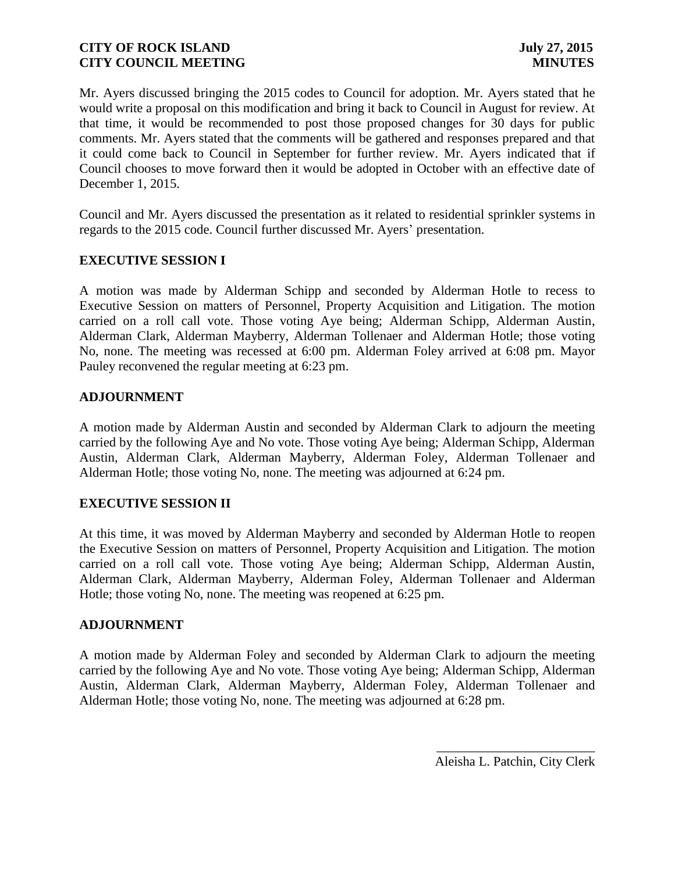Mr. Ayers discussed bringing the 2015 codes to Council for adoption. Mr. Ayers stated that he would write a proposal on this modification and bring it back to Council in August for review. At that time, it would be recommended to post those proposed changes for 30 days for public comments. Mr. Ayers stated that the comments will be gathered and responses prepared and that it could come back to Council in September for further review. Mr. Ayers indicated that if Council chooses to move forward then it would be adopted in October with an effective date of December 1, 2015.

Council and Mr. Ayers discussed the presentation as it related to residential sprinkler systems in regards to the 2015 code. Council further discussed Mr. Ayers' presentation.

#### **EXECUTIVE SESSION I**

A motion was made by Alderman Schipp and seconded by Alderman Hotle to recess to Executive Session on matters of Personnel, Property Acquisition and Litigation. The motion carried on a roll call vote. Those voting Aye being; Alderman Schipp, Alderman Austin, Alderman Clark, Alderman Mayberry, Alderman Tollenaer and Alderman Hotle; those voting No, none. The meeting was recessed at 6:00 pm. Alderman Foley arrived at 6:08 pm. Mayor Pauley reconvened the regular meeting at 6:23 pm.

#### **ADJOURNMENT**

A motion made by Alderman Austin and seconded by Alderman Clark to adjourn the meeting carried by the following Aye and No vote. Those voting Aye being; Alderman Schipp, Alderman Austin, Alderman Clark, Alderman Mayberry, Alderman Foley, Alderman Tollenaer and Alderman Hotle; those voting No, none. The meeting was adjourned at 6:24 pm.

# **EXECUTIVE SESSION II**

At this time, it was moved by Alderman Mayberry and seconded by Alderman Hotle to reopen the Executive Session on matters of Personnel, Property Acquisition and Litigation. The motion carried on a roll call vote. Those voting Aye being; Alderman Schipp, Alderman Austin, Alderman Clark, Alderman Mayberry, Alderman Foley, Alderman Tollenaer and Alderman Hotle; those voting No, none. The meeting was reopened at 6:25 pm.

#### **ADJOURNMENT**

A motion made by Alderman Foley and seconded by Alderman Clark to adjourn the meeting carried by the following Aye and No vote. Those voting Aye being; Alderman Schipp, Alderman Austin, Alderman Clark, Alderman Mayberry, Alderman Foley, Alderman Tollenaer and Alderman Hotle; those voting No, none. The meeting was adjourned at 6:28 pm.

\_\_\_\_\_\_\_\_\_\_\_\_\_\_\_\_\_\_\_\_\_\_\_\_ Aleisha L. Patchin, City Clerk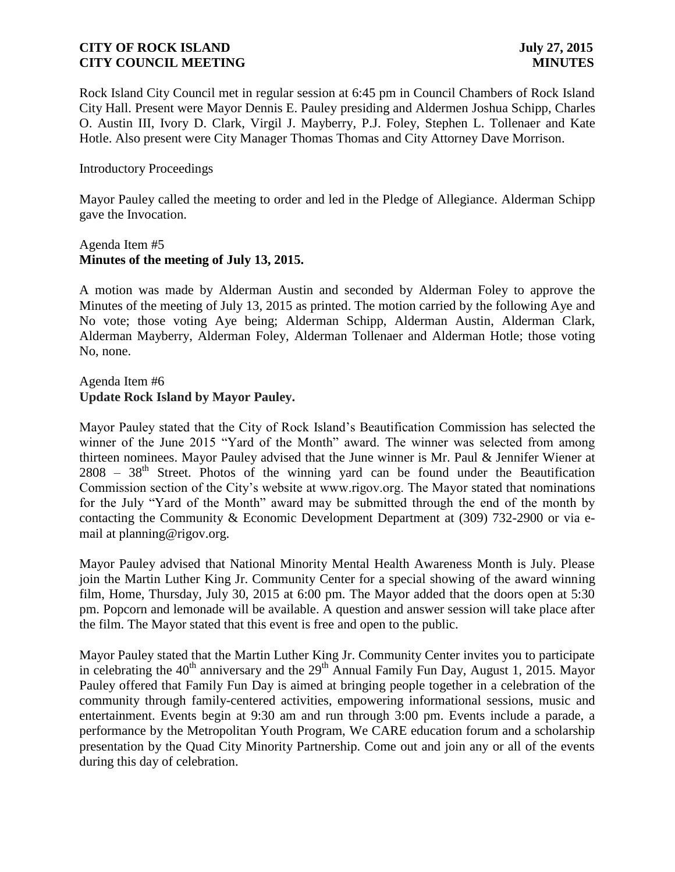Rock Island City Council met in regular session at 6:45 pm in Council Chambers of Rock Island City Hall. Present were Mayor Dennis E. Pauley presiding and Aldermen Joshua Schipp, Charles O. Austin III, Ivory D. Clark, Virgil J. Mayberry, P.J. Foley, Stephen L. Tollenaer and Kate Hotle. Also present were City Manager Thomas Thomas and City Attorney Dave Morrison.

#### Introductory Proceedings

Mayor Pauley called the meeting to order and led in the Pledge of Allegiance. Alderman Schipp gave the Invocation.

#### Agenda Item #5 **Minutes of the meeting of July 13, 2015.**

A motion was made by Alderman Austin and seconded by Alderman Foley to approve the Minutes of the meeting of July 13, 2015 as printed. The motion carried by the following Aye and No vote; those voting Aye being; Alderman Schipp, Alderman Austin, Alderman Clark, Alderman Mayberry, Alderman Foley, Alderman Tollenaer and Alderman Hotle; those voting No, none.

#### Agenda Item #6 **Update Rock Island by Mayor Pauley.**

Mayor Pauley stated that the City of Rock Island's Beautification Commission has selected the winner of the June 2015 "Yard of the Month" award. The winner was selected from among thirteen nominees. Mayor Pauley advised that the June winner is Mr. Paul & Jennifer Wiener at  $2808 - 38$ <sup>th</sup> Street. Photos of the winning yard can be found under the Beautification Commission section of the City's website at www.rigov.org. The Mayor stated that nominations for the July "Yard of the Month" award may be submitted through the end of the month by contacting the Community & Economic Development Department at (309) 732-2900 or via email at planning@rigov.org.

Mayor Pauley advised that National Minority Mental Health Awareness Month is July. Please join the Martin Luther King Jr. Community Center for a special showing of the award winning film, Home, Thursday, July 30, 2015 at 6:00 pm. The Mayor added that the doors open at 5:30 pm. Popcorn and lemonade will be available. A question and answer session will take place after the film. The Mayor stated that this event is free and open to the public.

Mayor Pauley stated that the Martin Luther King Jr. Community Center invites you to participate in celebrating the  $40^{th}$  anniversary and the  $29^{th}$  Annual Family Fun Day, August 1, 2015. Mayor Pauley offered that Family Fun Day is aimed at bringing people together in a celebration of the community through family-centered activities, empowering informational sessions, music and entertainment. Events begin at 9:30 am and run through 3:00 pm. Events include a parade, a performance by the Metropolitan Youth Program, We CARE education forum and a scholarship presentation by the Quad City Minority Partnership. Come out and join any or all of the events during this day of celebration.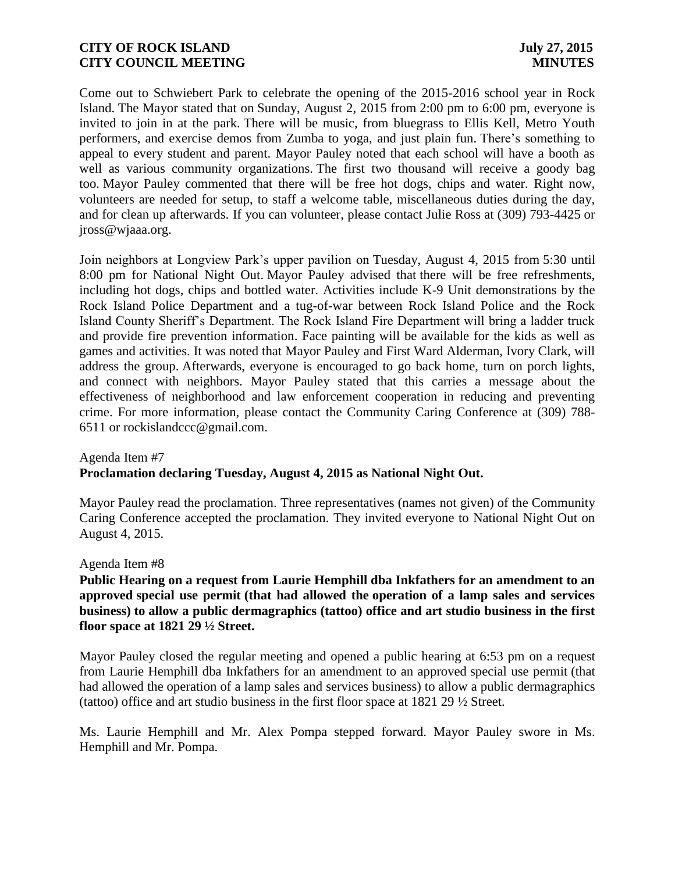Come out to Schwiebert Park to celebrate the opening of the 2015-2016 school year in Rock Island. The Mayor stated that on Sunday, August 2, 2015 from 2:00 pm to 6:00 pm, everyone is invited to join in at the park. There will be music, from bluegrass to Ellis Kell, Metro Youth performers, and exercise demos from Zumba to yoga, and just plain fun. There's something to appeal to every student and parent. Mayor Pauley noted that each school will have a booth as well as various community organizations. The first two thousand will receive a goody bag too. Mayor Pauley commented that there will be free hot dogs, chips and water. Right now, volunteers are needed for setup, to staff a welcome table, miscellaneous duties during the day, and for clean up afterwards. If you can volunteer, please contact Julie Ross at (309) 793-4425 or jross@wjaaa.org.

Join neighbors at Longview Park's upper pavilion on Tuesday, August 4, 2015 from 5:30 until 8:00 pm for National Night Out. Mayor Pauley advised that there will be free refreshments, including hot dogs, chips and bottled water. Activities include K-9 Unit demonstrations by the Rock Island Police Department and a tug-of-war between Rock Island Police and the Rock Island County Sheriff's Department. The Rock Island Fire Department will bring a ladder truck and provide fire prevention information. Face painting will be available for the kids as well as games and activities. It was noted that Mayor Pauley and First Ward Alderman, Ivory Clark, will address the group. Afterwards, everyone is encouraged to go back home, turn on porch lights, and connect with neighbors. Mayor Pauley stated that this carries a message about the effectiveness of neighborhood and law enforcement cooperation in reducing and preventing crime. For more information, please contact the Community Caring Conference at (309) 788- 6511 or rockislandccc@gmail.com.

## Agenda Item #7 **Proclamation declaring Tuesday, August 4, 2015 as National Night Out.**

Mayor Pauley read the proclamation. Three representatives (names not given) of the Community Caring Conference accepted the proclamation. They invited everyone to National Night Out on August 4, 2015.

#### Agenda Item #8

**Public Hearing on a request from Laurie Hemphill dba Inkfathers for an amendment to an approved special use permit (that had allowed the operation of a lamp sales and services business) to allow a public dermagraphics (tattoo) office and art studio business in the first floor space at 1821 29 ½ Street.**

Mayor Pauley closed the regular meeting and opened a public hearing at 6:53 pm on a request from Laurie Hemphill dba Inkfathers for an amendment to an approved special use permit (that had allowed the operation of a lamp sales and services business) to allow a public dermagraphics (tattoo) office and art studio business in the first floor space at 1821 29 ½ Street.

Ms. Laurie Hemphill and Mr. Alex Pompa stepped forward. Mayor Pauley swore in Ms. Hemphill and Mr. Pompa.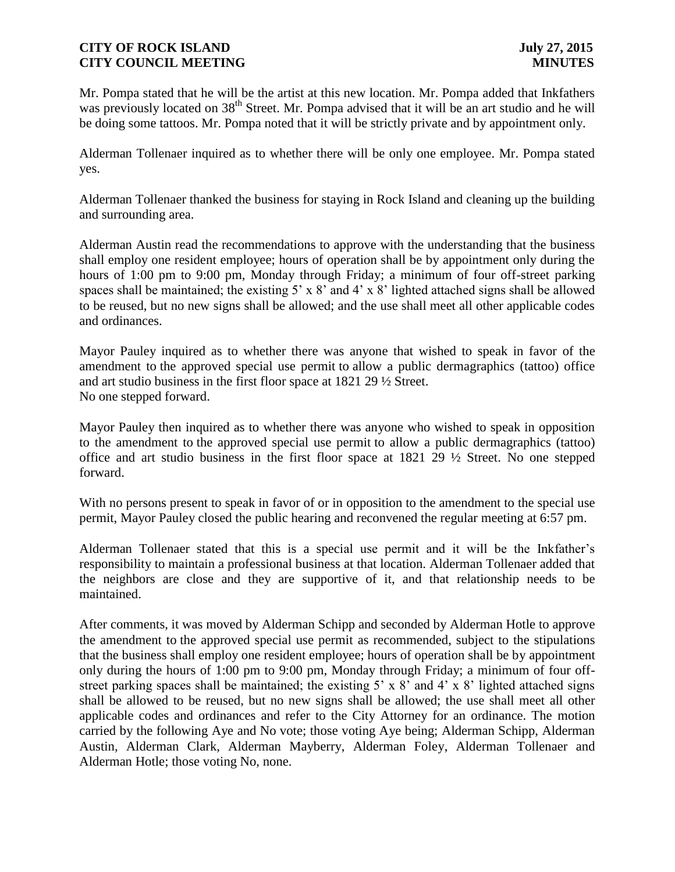Mr. Pompa stated that he will be the artist at this new location. Mr. Pompa added that Inkfathers was previously located on 38<sup>th</sup> Street. Mr. Pompa advised that it will be an art studio and he will be doing some tattoos. Mr. Pompa noted that it will be strictly private and by appointment only.

Alderman Tollenaer inquired as to whether there will be only one employee. Mr. Pompa stated yes.

Alderman Tollenaer thanked the business for staying in Rock Island and cleaning up the building and surrounding area.

Alderman Austin read the recommendations to approve with the understanding that the business shall employ one resident employee; hours of operation shall be by appointment only during the hours of 1:00 pm to 9:00 pm, Monday through Friday; a minimum of four off-street parking spaces shall be maintained; the existing 5' x 8' and 4' x 8' lighted attached signs shall be allowed to be reused, but no new signs shall be allowed; and the use shall meet all other applicable codes and ordinances.

Mayor Pauley inquired as to whether there was anyone that wished to speak in favor of the amendment to the approved special use permit to allow a public dermagraphics (tattoo) office and art studio business in the first floor space at 1821 29 ½ Street. No one stepped forward.

Mayor Pauley then inquired as to whether there was anyone who wished to speak in opposition to the amendment to the approved special use permit to allow a public dermagraphics (tattoo) office and art studio business in the first floor space at 1821 29 ½ Street. No one stepped forward.

With no persons present to speak in favor of or in opposition to the amendment to the special use permit, Mayor Pauley closed the public hearing and reconvened the regular meeting at 6:57 pm.

Alderman Tollenaer stated that this is a special use permit and it will be the Inkfather's responsibility to maintain a professional business at that location. Alderman Tollenaer added that the neighbors are close and they are supportive of it, and that relationship needs to be maintained.

After comments, it was moved by Alderman Schipp and seconded by Alderman Hotle to approve the amendment to the approved special use permit as recommended, subject to the stipulations that the business shall employ one resident employee; hours of operation shall be by appointment only during the hours of 1:00 pm to 9:00 pm, Monday through Friday; a minimum of four offstreet parking spaces shall be maintained; the existing  $5' \times 8'$  and  $4' \times 8'$  lighted attached signs shall be allowed to be reused, but no new signs shall be allowed; the use shall meet all other applicable codes and ordinances and refer to the City Attorney for an ordinance. The motion carried by the following Aye and No vote; those voting Aye being; Alderman Schipp, Alderman Austin, Alderman Clark, Alderman Mayberry, Alderman Foley, Alderman Tollenaer and Alderman Hotle; those voting No, none.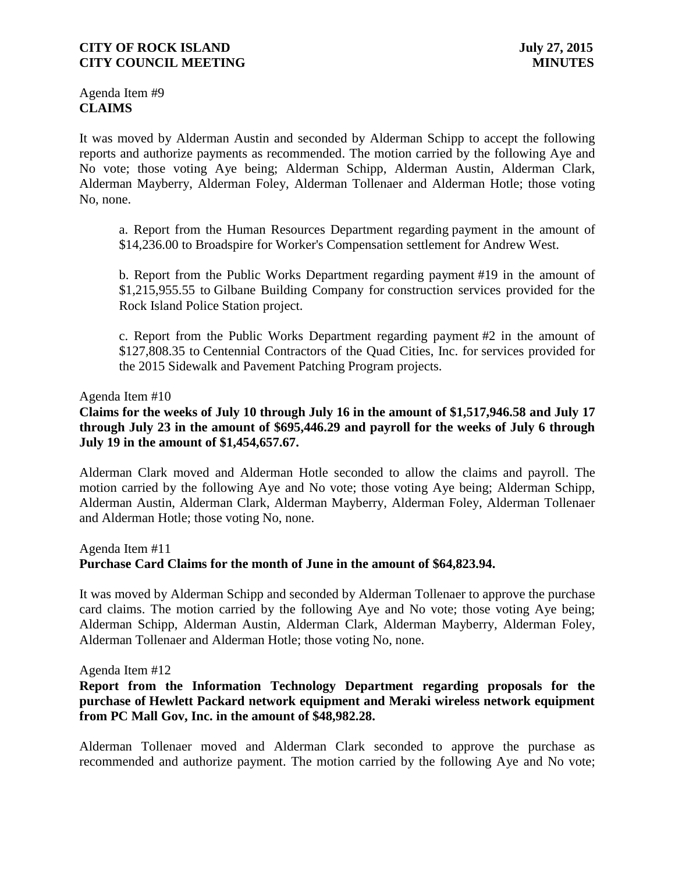Agenda Item #9 **CLAIMS**

It was moved by Alderman Austin and seconded by Alderman Schipp to accept the following reports and authorize payments as recommended. The motion carried by the following Aye and No vote; those voting Aye being; Alderman Schipp, Alderman Austin, Alderman Clark, Alderman Mayberry, Alderman Foley, Alderman Tollenaer and Alderman Hotle; those voting No, none.

a. Report from the Human Resources Department regarding payment in the amount of \$14,236.00 to Broadspire for Worker's Compensation settlement for Andrew West.

b. Report from the Public Works Department regarding payment #19 in the amount of \$1,215,955.55 to Gilbane Building Company for construction services provided for the Rock Island Police Station project.

c. Report from the Public Works Department regarding payment #2 in the amount of \$127,808.35 to Centennial Contractors of the Quad Cities, Inc. for services provided for the 2015 Sidewalk and Pavement Patching Program projects.

#### Agenda Item #10

## **Claims for the weeks of July 10 through July 16 in the amount of \$1,517,946.58 and July 17 through July 23 in the amount of \$695,446.29 and payroll for the weeks of July 6 through July 19 in the amount of \$1,454,657.67.**

Alderman Clark moved and Alderman Hotle seconded to allow the claims and payroll. The motion carried by the following Aye and No vote; those voting Aye being; Alderman Schipp, Alderman Austin, Alderman Clark, Alderman Mayberry, Alderman Foley, Alderman Tollenaer and Alderman Hotle; those voting No, none.

Agenda Item #11

#### **Purchase Card Claims for the month of June in the amount of \$64,823.94.**

It was moved by Alderman Schipp and seconded by Alderman Tollenaer to approve the purchase card claims. The motion carried by the following Aye and No vote; those voting Aye being; Alderman Schipp, Alderman Austin, Alderman Clark, Alderman Mayberry, Alderman Foley, Alderman Tollenaer and Alderman Hotle; those voting No, none.

Agenda Item #12

## **Report from the Information Technology Department regarding proposals for the purchase of Hewlett Packard network equipment and Meraki wireless network equipment from PC Mall Gov, Inc. in the amount of \$48,982.28.**

Alderman Tollenaer moved and Alderman Clark seconded to approve the purchase as recommended and authorize payment. The motion carried by the following Aye and No vote;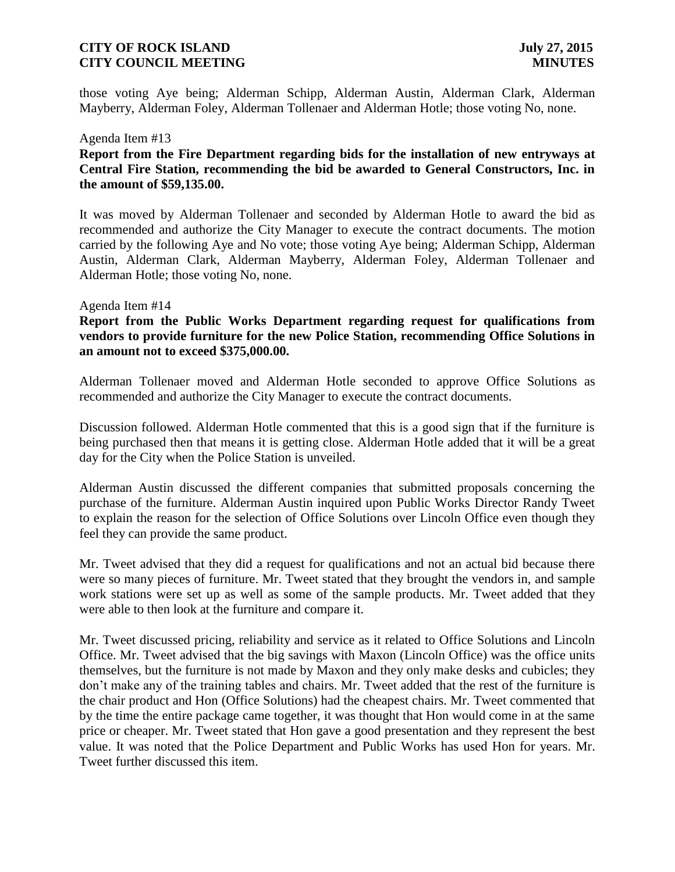those voting Aye being; Alderman Schipp, Alderman Austin, Alderman Clark, Alderman Mayberry, Alderman Foley, Alderman Tollenaer and Alderman Hotle; those voting No, none.

#### Agenda Item #13

## **Report from the Fire Department regarding bids for the installation of new entryways at Central Fire Station, recommending the bid be awarded to General Constructors, Inc. in the amount of \$59,135.00.**

It was moved by Alderman Tollenaer and seconded by Alderman Hotle to award the bid as recommended and authorize the City Manager to execute the contract documents. The motion carried by the following Aye and No vote; those voting Aye being; Alderman Schipp, Alderman Austin, Alderman Clark, Alderman Mayberry, Alderman Foley, Alderman Tollenaer and Alderman Hotle; those voting No, none.

#### Agenda Item #14

## **Report from the Public Works Department regarding request for qualifications from vendors to provide furniture for the new Police Station, recommending Office Solutions in an amount not to exceed \$375,000.00.**

Alderman Tollenaer moved and Alderman Hotle seconded to approve Office Solutions as recommended and authorize the City Manager to execute the contract documents.

Discussion followed. Alderman Hotle commented that this is a good sign that if the furniture is being purchased then that means it is getting close. Alderman Hotle added that it will be a great day for the City when the Police Station is unveiled.

Alderman Austin discussed the different companies that submitted proposals concerning the purchase of the furniture. Alderman Austin inquired upon Public Works Director Randy Tweet to explain the reason for the selection of Office Solutions over Lincoln Office even though they feel they can provide the same product.

Mr. Tweet advised that they did a request for qualifications and not an actual bid because there were so many pieces of furniture. Mr. Tweet stated that they brought the vendors in, and sample work stations were set up as well as some of the sample products. Mr. Tweet added that they were able to then look at the furniture and compare it.

Mr. Tweet discussed pricing, reliability and service as it related to Office Solutions and Lincoln Office. Mr. Tweet advised that the big savings with Maxon (Lincoln Office) was the office units themselves, but the furniture is not made by Maxon and they only make desks and cubicles; they don't make any of the training tables and chairs. Mr. Tweet added that the rest of the furniture is the chair product and Hon (Office Solutions) had the cheapest chairs. Mr. Tweet commented that by the time the entire package came together, it was thought that Hon would come in at the same price or cheaper. Mr. Tweet stated that Hon gave a good presentation and they represent the best value. It was noted that the Police Department and Public Works has used Hon for years. Mr. Tweet further discussed this item.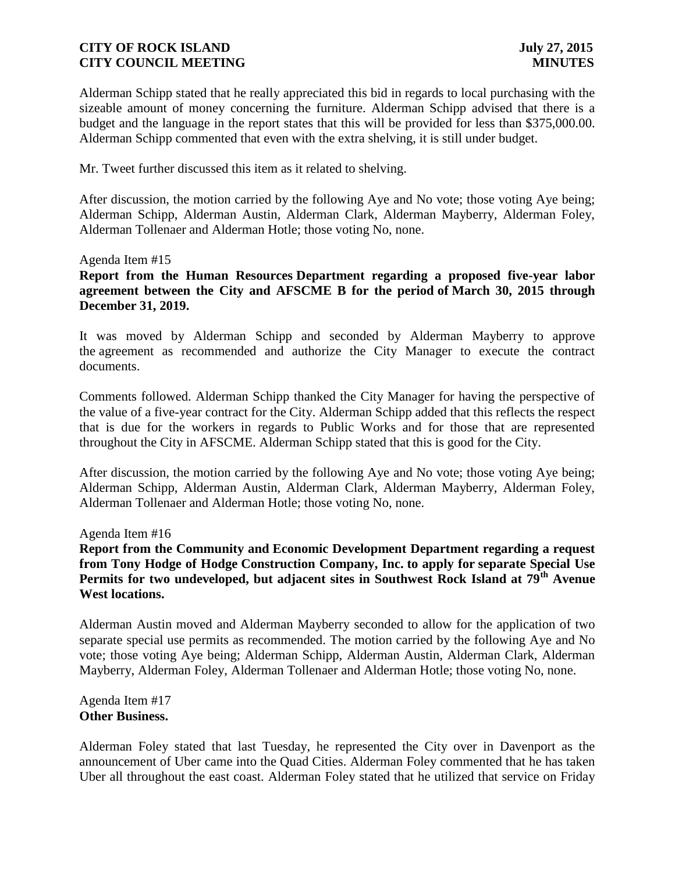Alderman Schipp stated that he really appreciated this bid in regards to local purchasing with the sizeable amount of money concerning the furniture. Alderman Schipp advised that there is a budget and the language in the report states that this will be provided for less than \$375,000.00. Alderman Schipp commented that even with the extra shelving, it is still under budget.

Mr. Tweet further discussed this item as it related to shelving.

After discussion, the motion carried by the following Aye and No vote; those voting Aye being; Alderman Schipp, Alderman Austin, Alderman Clark, Alderman Mayberry, Alderman Foley, Alderman Tollenaer and Alderman Hotle; those voting No, none.

#### Agenda Item #15

**Report from the Human Resources Department regarding a proposed five-year labor agreement between the City and AFSCME B for the period of March 30, 2015 through December 31, 2019.**

It was moved by Alderman Schipp and seconded by Alderman Mayberry to approve the agreement as recommended and authorize the City Manager to execute the contract documents.

Comments followed. Alderman Schipp thanked the City Manager for having the perspective of the value of a five-year contract for the City. Alderman Schipp added that this reflects the respect that is due for the workers in regards to Public Works and for those that are represented throughout the City in AFSCME. Alderman Schipp stated that this is good for the City.

After discussion, the motion carried by the following Aye and No vote; those voting Aye being; Alderman Schipp, Alderman Austin, Alderman Clark, Alderman Mayberry, Alderman Foley, Alderman Tollenaer and Alderman Hotle; those voting No, none.

Agenda Item #16

**Report from the Community and Economic Development Department regarding a request from Tony Hodge of Hodge Construction Company, Inc. to apply for separate Special Use Permits for two undeveloped, but adjacent sites in Southwest Rock Island at 79th Avenue West locations.**

Alderman Austin moved and Alderman Mayberry seconded to allow for the application of two separate special use permits as recommended. The motion carried by the following Aye and No vote; those voting Aye being; Alderman Schipp, Alderman Austin, Alderman Clark, Alderman Mayberry, Alderman Foley, Alderman Tollenaer and Alderman Hotle; those voting No, none.

Agenda Item #17 **Other Business.**

Alderman Foley stated that last Tuesday, he represented the City over in Davenport as the announcement of Uber came into the Quad Cities. Alderman Foley commented that he has taken Uber all throughout the east coast. Alderman Foley stated that he utilized that service on Friday